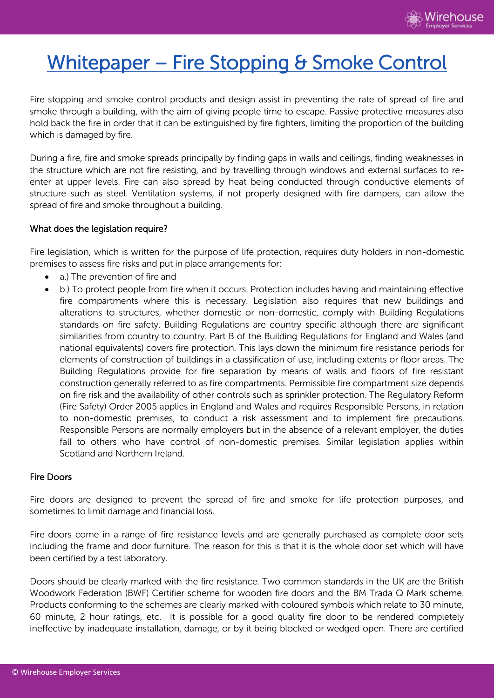# Whitepaper – Fire Stopping & Smoke Control

Fire stopping and smoke control products and design assist in preventing the rate of spread of fire and smoke through a building, with the aim of giving people time to escape. Passive protective measures also hold back the fire in order that it can be extinguished by fire fighters, limiting the proportion of the building which is damaged by fire.

During a fire, fire and smoke spreads principally by finding gaps in walls and ceilings, finding weaknesses in the structure which are not fire resisting, and by travelling through windows and external surfaces to reenter at upper levels. Fire can also spread by heat being conducted through conductive elements of structure such as steel. Ventilation systems, if not properly designed with fire dampers, can allow the spread of fire and smoke throughout a building.

#### What does the legislation require?

Fire legislation, which is written for the purpose of life protection, requires duty holders in non-domestic premises to assess fire risks and put in place arrangements for:

- a.) The prevention of fire and
- b.) To protect people from fire when it occurs. Protection includes having and maintaining effective fire compartments where this is necessary. Legislation also requires that new buildings and alterations to structures, whether domestic or non-domestic, comply with Building Regulations standards on fire safety. Building Regulations are country specific although there are significant similarities from country to country. Part B of the Building Regulations for England and Wales (and national equivalents) covers fire protection. This lays down the minimum fire resistance periods for elements of construction of buildings in a classification of use, including extents or floor areas. The Building Regulations provide for fire separation by means of walls and floors of fire resistant construction generally referred to as fire compartments. Permissible fire compartment size depends on fire risk and the availability of other controls such as sprinkler protection. The Regulatory Reform (Fire Safety) Order 2005 applies in England and Wales and requires Responsible Persons, in relation to non-domestic premises, to conduct a risk assessment and to implement fire precautions. Responsible Persons are normally employers but in the absence of a relevant employer, the duties fall to others who have control of non-domestic premises. Similar legislation applies within Scotland and Northern Ireland.

#### Fire Doors

Fire doors are designed to prevent the spread of fire and smoke for life protection purposes, and sometimes to limit damage and financial loss.

Fire doors come in a range of fire resistance levels and are generally purchased as complete door sets including the frame and door furniture. The reason for this is that it is the whole door set which will have been certified by a test laboratory.

Doors should be clearly marked with the fire resistance. Two common standards in the UK are the British Woodwork Federation (BWF) Certifier scheme for wooden fire doors and the BM Trada Q Mark scheme. Products conforming to the schemes are clearly marked with coloured symbols which relate to 30 minute, 60 minute, 2 hour ratings, etc. It is possible for a good quality fire door to be rendered completely ineffective by inadequate installation, damage, or by it being blocked or wedged open. There are certified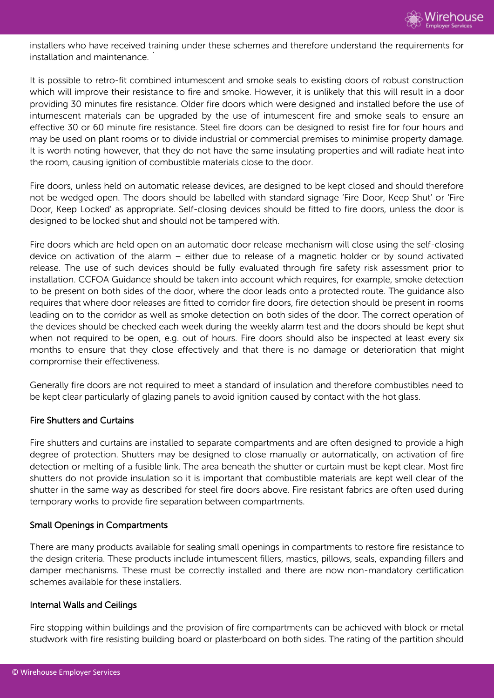installers who have received training under these schemes and therefore understand the requirements for installation and maintenance. `

It is possible to retro-fit combined intumescent and smoke seals to existing doors of robust construction which will improve their resistance to fire and smoke. However, it is unlikely that this will result in a door providing 30 minutes fire resistance. Older fire doors which were designed and installed before the use of intumescent materials can be upgraded by the use of intumescent fire and smoke seals to ensure an effective 30 or 60 minute fire resistance. Steel fire doors can be designed to resist fire for four hours and may be used on plant rooms or to divide industrial or commercial premises to minimise property damage. It is worth noting however, that they do not have the same insulating properties and will radiate heat into the room, causing ignition of combustible materials close to the door.

Fire doors, unless held on automatic release devices, are designed to be kept closed and should therefore not be wedged open. The doors should be labelled with standard signage 'Fire Door, Keep Shut' or 'Fire Door, Keep Locked' as appropriate. Self-closing devices should be fitted to fire doors, unless the door is designed to be locked shut and should not be tampered with.

Fire doors which are held open on an automatic door release mechanism will close using the self-closing device on activation of the alarm – either due to release of a magnetic holder or by sound activated release. The use of such devices should be fully evaluated through fire safety risk assessment prior to installation. CCFOA Guidance should be taken into account which requires, for example, smoke detection to be present on both sides of the door, where the door leads onto a protected route. The guidance also requires that where door releases are fitted to corridor fire doors, fire detection should be present in rooms leading on to the corridor as well as smoke detection on both sides of the door. The correct operation of the devices should be checked each week during the weekly alarm test and the doors should be kept shut when not required to be open, e.g. out of hours. Fire doors should also be inspected at least every six months to ensure that they close effectively and that there is no damage or deterioration that might compromise their effectiveness.

Generally fire doors are not required to meet a standard of insulation and therefore combustibles need to be kept clear particularly of glazing panels to avoid ignition caused by contact with the hot glass.

#### Fire Shutters and Curtains

Fire shutters and curtains are installed to separate compartments and are often designed to provide a high degree of protection. Shutters may be designed to close manually or automatically, on activation of fire detection or melting of a fusible link. The area beneath the shutter or curtain must be kept clear. Most fire shutters do not provide insulation so it is important that combustible materials are kept well clear of the shutter in the same way as described for steel fire doors above. Fire resistant fabrics are often used during temporary works to provide fire separation between compartments.

#### Small Openings in Compartments

There are many products available for sealing small openings in compartments to restore fire resistance to the design criteria. These products include intumescent fillers, mastics, pillows, seals, expanding fillers and damper mechanisms. These must be correctly installed and there are now non-mandatory certification schemes available for these installers.

#### Internal Walls and Ceilings

Fire stopping within buildings and the provision of fire compartments can be achieved with block or metal studwork with fire resisting building board or plasterboard on both sides. The rating of the partition should